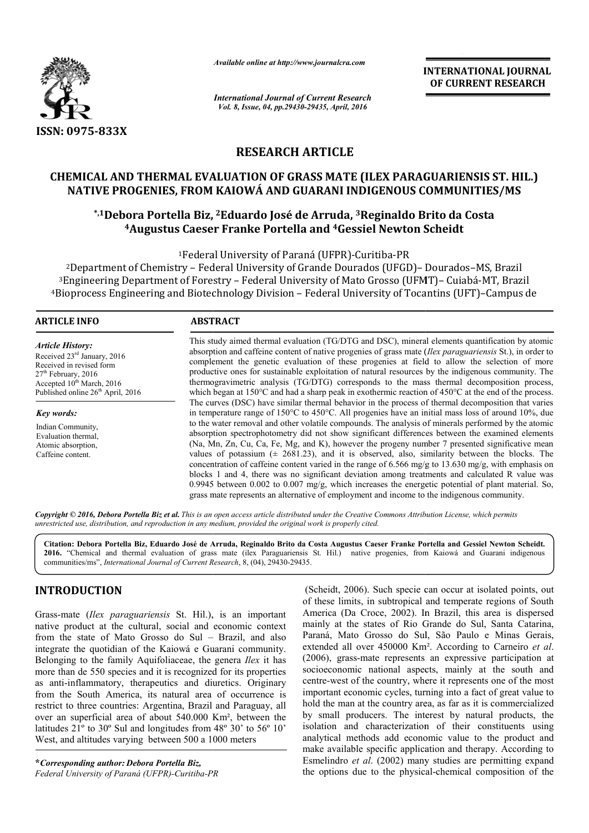

*Available online at http://www.journalcra.com*

*International Journal of Current Research Vol. 8, Issue, 04, pp.29430-29435, April, 2016*

**INTERNATIONAL JOURNAL OF CURRENT RESEARCH** 

# **RESEARCH ARTICLE**

# **CHEMICAL AND THERMAL EVALUATION OF GRASS MATE (ILEX PARAGUARIENSIS ST. HIL.) NATIVE PROGENIES, FROM KAIOWÁ AND GUARANI INDIGENOUS COMMUNITIES/MS**

# **\*,1Debora Portella Biz, ,2Eduardo José de Arruda, 3Reginaldo Brito da Costa 4Augustus Caeser Franke Portella Augustus and 4Gessiel Newton Scheidt OF GRASS MATE (ILEX PARAGUARIENSIS S<br>\ND GUARANI INDIGENOUS COMMUNITIES<br>José de Arruda, <sup>3</sup>Reginaldo Brito da Costa<br>ortella and <sup>4</sup>Gessiel Newton Scheidt**

<sup>1</sup>Federal University of Paraná (UFPR)-Curitiba-PR

<sup>2</sup>Department of Chemistry - Federal University of Grande Dourados (UFGD)- Dourados-MS, Brazil  $^3$ Engineering Department of Forestry – Federal University of Mato Grosso (UFMT)– Cuiabá-MT, Brazil 4Bioprocess Engineering and Biotechnology Division – Federal University of Tocantins (UFT)–Campus de

 $\overline{a}$ 

#### **ARTICLE INFO ABSTRACT**

*Article History:* Received 23rd January, 2016 Received in revised form 27<sup>th</sup> February, 2016 Accepted 10<sup>th</sup> March, 2016 Published online  $26<sup>th</sup>$  April, 2016

*Key words:*

Indian Community, Evaluation thermal, Atomic absorption, Caffeine content.

This study aimed thermal evaluation (TG/DTG and DSC), mineral elements quantification by atomic This study aimed thermal evaluation (TG/DTG and DSC), mineral elements quantification by atomic absorption and caffeine content of native progenies of grass mate (*Ilex paraguariensis* St.), in order to complement the genetic evaluation of these progenies at field to allow the selection of more productive ones for sustainable exploitation of natural resources by the indigenous community. The thermogravimetric analysis (TG/DTG) corresponds to the mass thermal decomposition process, which began at 150°C and had a sharp peak in exothermic reaction of 450°C at the end of the process. The curves (DSC) have similar thermal behavior in the process of thermal decomposition that varies in temperature range of 150°C to 450°C. All progenies have an initial mass loss of around 10%, due to the water removal and other volatile compounds. The analysis of minerals performed by the atomic absorption spectrophotometry did not show significant differences between the examined elements (Na, Mn, Zn, Cu, Ca, Fe, Mg, and K), however the progeny number 7 presented significative mean values of potassium  $(\pm 2681.23)$ , and it is observed, also, similarity between the blocks. The concentration of caffeine content varied in the range of 6.566 mg/g to 13.630 mg/g, with emphasis on blocks 1 and 4, there was no significant deviation among treatments and calculated R value was 0.9945 between 0.002 to 0.007 mg/g, which increases the energetic potential of plant material. So, grass mate represents an alternative of employment and income to the indigenous community. n temperature range of 150°C to 450°C. All progenies have an initial mass loss of around 10%, due<br>o the water removal and other volatile compounds. The analysis of minerals performed by the atomic<br>ibsorption spectrophotome complement the genetic evaluation of these progenies at field to allow the selection of more<br>productive ones for sustainable exploitation of natural resources by the indigenous community. The<br>thermogravinetric analysis (T

Copyright © 2016, Debora Portella Biz et al. This is an open access article distributed under the Creative Commons Attribution License, which permits *unrestricted use, distribution, and reproduction in any medium, provided the original work is properly cited.*

Citation: Debora Portella Biz, Eduardo José de Arruda, Reginaldo Brito da Costa Augustus Caeser Franke Portella and Gessiel Newton Scheidt. 2016. "Chemical and thermal evaluation of grass mate (ilex Paraguariensis St. Hil.) native progenies, from Kaiowá and Guarani indigenous **2016.** "Chemical and thermal evaluation of grass mate (ilex Paraguariensis communities/ms", *International Journal of Current Research*, 8, (04), 29430-29435.

# **INTRODUCTION**

Grass-mate (*Ilex paraguariensis* St. Hil.), is an important native product at the cultural, social and economic context from the state of Mato Grosso do Sul – Brazil, and also integrate the quotidian of the Kaiowá e Guarani community. Belonging to the family Aquifoliaceae, the genera *Ilex* it has more than de 550 species and it is recognized for its properties as anti-inflammatory, therapeutics and diuretics. Originary as anti-inflammatory, therapeutics and diuretics. Originary from the South America, its natural area of occurrence is restrict to three countries: Argentina, Brazil and Paraguay, all over an superficial area of about 540.000 Km², between the latitudes 21º to 30º Sul and longitudes from 48º 30' to 56º 10' West, and altitudes varying between 500 a 1000 meters

**\****Corresponding author: Debora Portella Biz, Federal University of Paraná (UFPR)-Curitiba-PR*

(Scheidt, 2006). Such specie can occur at isolated points, out<br> *PRECAL COOL COOL COOL* In Brazil, this area is dispersed<br> *Parana,* Mato Grosso do Sul, São Paulo e Minas Gerais,<br> *Parana, Mato Grosso do Sul, São Paulo e M* of these limits, in subtropical and temperate regions of South America (Da Croce, 2002). In Brazil, this area is dispersed mainly at the states of Rio Grande do Sul, Santa Paraná, Mato Grosso do Sul, São Paulo e Minas Gerais, Paraná, Mato Grosso do Sul, São Paulo e Minas Gerais, extended all over 450000 Km<sup>2</sup>. According to Carneiro *et al*. (2006), grass-mate represents an expressive participation at socioeconomic national aspects, mainly at the south and centre-west of the country, where it represents one of the most important economic cycles, turning into a fact of great value to hold the man at the country area, as far as it is commercialized by small producers. The interest by natural products, the isolation and characterization of their constituents using analytical methods add economic value to the product and make available specific application and therapy. According to Esmelindro *et al*. (2002) many studies are permitting expand Esmelindro *et al.* (2002) many studies are permitting expand the options due to the physical-chemical composition of the It, 2006). Such specie can occur at isolated points, out limits, in subtropical and temperate regions of South a (Da Croce, 2002). In Brazil, this area is dispersed at the states of Rio Grande do Sul, Santa Catarina, (2006), grass-mate represents an expressive participation at socioeconomic national aspects, mainly at the south and centre-west of the country, where it represents one of the most important economic cycles, turning into a net interest by natural products, the characterization of their constituents using ods add economic value to the product and specific application and therapy. According to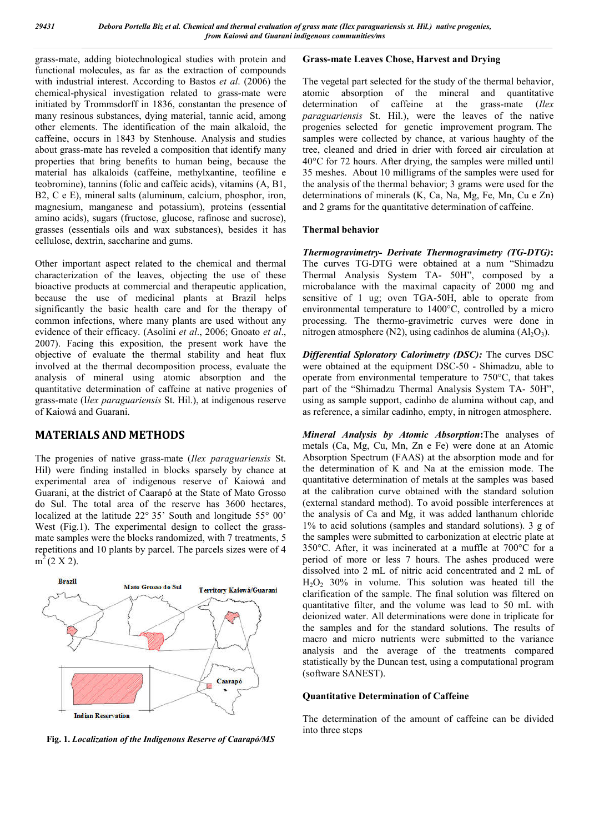grass-mate, adding biotechnological studies with protein and functional molecules, as far as the extraction of compounds with industrial interest. According to Bastos *et al*. (2006) the chemical-physical investigation related to grass-mate were initiated by Trommsdorff in 1836, constantan the presence of many resinous substances, dying material, tannic acid, among other elements. The identification of the main alkaloid, the caffeine, occurs in 1843 by Stenhouse. Analysis and studies about grass-mate has reveled a composition that identify many properties that bring benefits to human being, because the material has alkaloids (caffeine, methylxantine, teofiline e teobromine), tannins (folic and caffeic acids), vitamins (A, B1, B2, C e E), mineral salts (aluminum, calcium, phosphor, iron, magnesium, manganese and potassium), proteins (essential amino acids), sugars (fructose, glucose, rafinose and sucrose), grasses (essentials oils and wax substances), besides it has cellulose, dextrin, saccharine and gums.

Other important aspect related to the chemical and thermal characterization of the leaves, objecting the use of these bioactive products at commercial and therapeutic application, because the use of medicinal plants at Brazil helps significantly the basic health care and for the therapy of common infections, where many plants are used without any evidence of their efficacy. (Asolini *et al*., 2006; Gnoato *et al*., 2007). Facing this exposition, the present work have the objective of evaluate the thermal stability and heat flux involved at the thermal decomposition process, evaluate the analysis of mineral using atomic absorption and the quantitative determination of caffeine at native progenies of grass-mate (I*lex paraguariensis* St. Hil.), at indigenous reserve of Kaiowá and Guarani.

# **MATERIALS AND METHODS**

The progenies of native grass-mate (*Ilex paraguariensis* St. Hil) were finding installed in blocks sparsely by chance at experimental area of indigenous reserve of Kaiowá and Guarani, at the district of Caarapó at the State of Mato Grosso do Sul. The total area of the reserve has 3600 hectares, localized at the latitude 22° 35' South and longitude 55° 00' West (Fig.1). The experimental design to collect the grassmate samples were the blocks randomized, with 7 treatments, 5 repetitions and 10 plants by parcel. The parcels sizes were of 4  $m^2$  (2 X 2).



**Fig. 1.** *Localization of the Indigenous Reserve of Caarapó/MS*

# **Grass-mate Leaves Chose, Harvest and Drying**

The vegetal part selected for the study of the thermal behavior, atomic absorption of the mineral and quantitative determination of caffeine at the grass-mate (*Ilex paraguariensis* St. Hil.), were the leaves of the native progenies selected for genetic improvement program. The samples were collected by chance, at various haughty of the tree, cleaned and dried in drier with forced air circulation at 40°C for 72 hours. After drying, the samples were milled until 35 meshes. About 10 milligrams of the samples were used for the analysis of the thermal behavior; 3 grams were used for the determinations of minerals (K, Ca, Na, Mg, Fe, Mn, Cu e Zn) and 2 grams for the quantitative determination of caffeine.

### **Thermal behavior**

*Thermogravimetry- Derivate Thermogravimetry (TG-DTG)***:** The curves TG-DTG were obtained at a num "Shimadzu Thermal Analysis System TA- 50H", composed by a microbalance with the maximal capacity of 2000 mg and sensitive of 1 ug; oven TGA-50H, able to operate from environmental temperature to 1400°C, controlled by a micro processing. The thermo-gravimetric curves were done in nitrogen atmosphere (N2), using cadinhos de alumina  $(AI_2O_3)$ .

*Differential Sploratory Calorimetry (DSC):* The curves DSC were obtained at the equipment DSC-50 - Shimadzu, able to operate from environmental temperature to 750°C, that takes part of the "Shimadzu Thermal Analysis System TA- 50H", using as sample support, cadinho de alumina without cap, and as reference, a similar cadinho, empty, in nitrogen atmosphere.

*Mineral Analysis by Atomic Absorption***:**The analyses of metals (Ca, Mg, Cu, Mn, Zn e Fe) were done at an Atomic Absorption Spectrum (FAAS) at the absorption mode and for the determination of K and Na at the emission mode. The quantitative determination of metals at the samples was based at the calibration curve obtained with the standard solution (external standard method). To avoid possible interferences at the analysis of Ca and Mg, it was added lanthanum chloride 1% to acid solutions (samples and standard solutions). 3 g of the samples were submitted to carbonization at electric plate at 350°C. After, it was incinerated at a muffle at 700°C for a period of more or less 7 hours. The ashes produced were dissolved into 2 mL of nitric acid concentrated and 2 mL of  $H<sub>2</sub>O<sub>2</sub>$  30% in volume. This solution was heated till the clarification of the sample. The final solution was filtered on quantitative filter, and the volume was lead to 50 mL with deionized water. All determinations were done in triplicate for the samples and for the standard solutions. The results of macro and micro nutrients were submitted to the variance analysis and the average of the treatments compared statistically by the Duncan test, using a computational program (software SANEST).

### **Quantitative Determination of Caffeine**

The determination of the amount of caffeine can be divided into three steps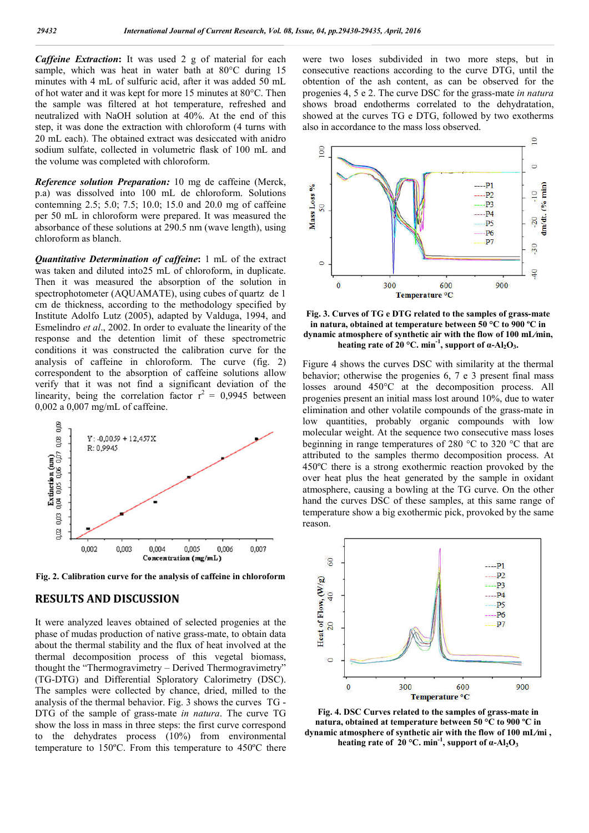*Caffeine Extraction***:** It was used 2 g of material for each sample, which was heat in water bath at 80°C during 15 minutes with 4 mL of sulfuric acid, after it was added 50 mL of hot water and it was kept for more 15 minutes at 80°C. Then the sample was filtered at hot temperature, refreshed and neutralized with NaOH solution at 40%. At the end of this step, it was done the extraction with chloroform (4 turns with 20 mL each). The obtained extract was desiccated with anidro sodium sulfate, collected in volumetric flask of 100 mL and the volume was completed with chloroform.

*Reference solution Preparation:* 10 mg de caffeine (Merck, p.a) was dissolved into 100 mL de chloroform. Solutions contemning 2.5; 5.0; 7.5; 10.0; 15.0 and 20.0 mg of caffeine per 50 mL in chloroform were prepared. It was measured the absorbance of these solutions at 290.5 nm (wave length), using chloroform as blanch.

*Quantitative Determination of caffeine***:** 1 mL of the extract was taken and diluted into25 mL of chloroform, in duplicate. Then it was measured the absorption of the solution in spectrophotometer (AQUAMATE), using cubes of quartz de 1 cm de thickness, according to the methodology specified by Institute Adolfo Lutz (2005), adapted by Valduga, 1994, and Esmelindro *et al*., 2002. In order to evaluate the linearity of the response and the detention limit of these spectrometric conditions it was constructed the calibration curve for the analysis of caffeine in chloroform. The curve (fig. 2) correspondent to the absorption of caffeine solutions allow verify that it was not find a significant deviation of the linearity, being the correlation factor  $r^2 = 0.9945$  between 0,002 a 0,007 mg/mL of caffeine.



**Fig. 2. Calibration curve for the analysis of caffeine in chloroform**

# **RESULTS AND DISCUSSION**

It were analyzed leaves obtained of selected progenies at the phase of mudas production of native grass-mate, to obtain data about the thermal stability and the flux of heat involved at the thermal decomposition process of this vegetal biomass, thought the "Thermogravimetry – Derived Thermogravimetry" (TG-DTG) and Differential Sploratory Calorimetry (DSC). The samples were collected by chance, dried, milled to the analysis of the thermal behavior. Fig. 3 shows the curves TG - DTG of the sample of grass-mate *in natura*. The curve TG show the loss in mass in three steps: the first curve correspond to the dehydrates process (10%) from environmental temperature to 150ºC. From this temperature to 450ºC there

were two loses subdivided in two more steps, but in consecutive reactions according to the curve DTG, until the obtention of the ash content, as can be observed for the progenies 4, 5 e 2. The curve DSC for the grass-mate *in natura* shows broad endotherms correlated to the dehydratation, showed at the curves TG e DTG, followed by two exotherms also in accordance to the mass loss observed.



**Fig. 3. Curves of TG e DTG related to the samples of grass-mate in natura, obtained at temperature between 50 °C to 900 ºC in dynamic atmosphere of synthetic air with the flow of 100 mL⁄min,**  heating rate of 20 °C. min<sup>-1</sup>, support of  $\alpha$ -Al<sub>2</sub>O<sub>3</sub>.

Figure 4 shows the curves DSC with similarity at the thermal behavior; otherwise the progenies 6, 7 e 3 present final mass losses around 450°C at the decomposition process. All progenies present an initial mass lost around 10%, due to water elimination and other volatile compounds of the grass-mate in low quantities, probably organic compounds with low molecular weight. At the sequence two consecutive mass loses beginning in range temperatures of 280 °C to 320 °C that are attributed to the samples thermo decomposition process. At 450ºC there is a strong exothermic reaction provoked by the over heat plus the heat generated by the sample in oxidant atmosphere, causing a bowling at the TG curve. On the other hand the curves DSC of these samples, at this same range of temperature show a big exothermic pick, provoked by the same reason.



**Fig. 4. DSC Curves related to the samples of grass-mate in natura, obtained at temperature between 50 °C to 900 ºC in dynamic atmosphere of synthetic air with the flow of 100 mL⁄mi , heating rate of 20 °C. min<sup>-1</sup>, support of α-Al<sub>2</sub>O<sub>3</sub>**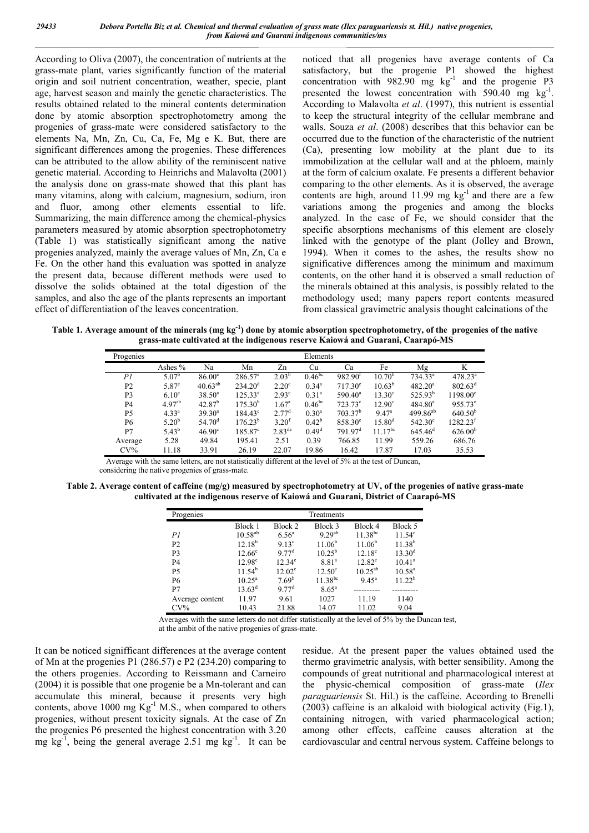According to Oliva (2007), the concentration of nutrients at the grass-mate plant, varies significantly function of the material origin and soil nutrient concentration, weather, specie, plant age, harvest season and mainly the genetic characteristics. The results obtained related to the mineral contents determination done by atomic absorption spectrophotometry among the progenies of grass-mate were considered satisfactory to the elements Na, Mn, Zn, Cu, Ca, Fe, Mg e K. But, there are significant differences among the progenies. These differences can be attributed to the allow ability of the reminiscent native genetic material. According to Heinrichs and Malavolta (2001) the analysis done on grass-mate showed that this plant has many vitamins, along with calcium, magnesium, sodium, iron and fluor, among other elements essential to life. Summarizing, the main difference among the chemical-physics parameters measured by atomic absorption spectrophotometry (Table 1) was statistically significant among the native progenies analyzed, mainly the average values of Mn, Zn, Ca e Fe. On the other hand this evaluation was spotted in analyze the present data, because different methods were used to dissolve the solids obtained at the total digestion of the samples, and also the age of the plants represents an important effect of differentiation of the leaves concentration.

noticed that all progenies have average contents of Ca satisfactory, but the progenie P1 showed the highest concentration with  $982.90$  mg kg<sup>-1</sup> and the progenie P3 presented the lowest concentration with  $590.40$  mg kg<sup>-1</sup>. According to Malavolta *et al*. (1997), this nutrient is essential to keep the structural integrity of the cellular membrane and walls. Souza *et al*. (2008) describes that this behavior can be occurred due to the function of the characteristic of the nutrient (Ca), presenting low mobility at the plant due to its immobilization at the cellular wall and at the phloem, mainly at the form of calcium oxalate. Fe presents a different behavior comparing to the other elements. As it is observed, the average contents are high, around  $11.99$  mg kg<sup>-1</sup> and there are a few variations among the progenies and among the blocks analyzed. In the case of Fe, we should consider that the specific absorptions mechanisms of this element are closely linked with the genotype of the plant (Jolley and Brown, 1994). When it comes to the ashes, the results show no significative differences among the minimum and maximum contents, on the other hand it is observed a small reduction of the minerals obtained at this analysis, is possibly related to the methodology used; many papers report contents measured from classical gravimetric analysis thought calcinations of the

**Table 1. Average amount of the minerals (mg kg-1 ) done by atomic absorption spectrophotometry, of the progenies of the native grass-mate cultivated at the indigenous reserve Kaiowá and Guarani, Caarapó-MS**

| Progenies      | Elements           |                    |                     |                    |                    |                     |                    |                     |                     |  |
|----------------|--------------------|--------------------|---------------------|--------------------|--------------------|---------------------|--------------------|---------------------|---------------------|--|
|                | Ashes %            | Na                 | Mn                  | Zn                 | Cu                 | Ca                  | Fe                 | Mg                  | K                   |  |
| PI             | 5.07 <sup>b</sup>  | $86.00^\circ$      | $286.57^{\circ}$    | $2.03^{b}$         | 0.46 <sup>bc</sup> | 982.90 <sup>t</sup> | 10.70 <sup>b</sup> | $734.33^e$          | 478.23 <sup>a</sup> |  |
| P <sub>2</sub> | $5.87^\circ$       | $40.63^{ab}$       | 234.20 <sup>d</sup> | $2.20^{\circ}$     | $0.34^{\circ}$     | $717.30^{\circ}$    | $10.63^{\rm b}$    | $482.20^a$          | $802.63^{\rm d}$    |  |
| P <sub>3</sub> | 6.10 <sup>c</sup>  | $38.50^a$          | $125.33^{a}$        | $2.93^{\circ}$     | $0.31^{\rm a}$     | $590.40^{\circ}$    | $13.30^\circ$      | $525.93^{b}$        | $1198.00^{\circ}$   |  |
| <b>P4</b>      | 4.97 <sup>ab</sup> | $42.87^{b}$        | $175.30^{b}$        | $1.67^{\circ}$     | $0.46^{bc}$        | $723.73^{\circ}$    | $12.90^\circ$      | $484.80^{a}$        | $955.73^e$          |  |
| P <sub>5</sub> | $4.33^{a}$         | $39.30^{a}$        | $184.43^{\circ}$    | 2.77 <sup>d</sup>  | $0.30^{a}$         | 703.37 <sup>b</sup> | 9.47 <sup>a</sup>  | $499.86^{ab}$       | 640.50 <sup>b</sup> |  |
| P6             | $5.20^{b}$         | 54.70 <sup>d</sup> | $176.23^{b}$        | 3.20 <sup>t</sup>  | $0.42^{\rm b}$     | $858.30^{\circ}$    | $15.80^{\rm d}$    | $542.30^{\circ}$    | $1282.23^t$         |  |
| P7             | $5.43^{b}$         | $46.90^\circ$      | $185.87^{\circ}$    | $2.83^{\text{de}}$ | 0.49 <sup>d</sup>  | 791.97 <sup>d</sup> | $11.17^{bc}$       | 645.46 <sup>d</sup> | 626.00 <sup>b</sup> |  |
| Average        | 5.28               | 49.84              | 195.41              | 2.51               | 0.39               | 766.85              | 11.99              | 559.26              | 686.76              |  |
| $CV\%$         | 11.18              | 33.91              | 26.19               | 22.07              | 19.86              | 16.42               | 17.87              | 17.03               | 35.53               |  |

Average with the same letters, are not statistically different at the level of 5% at the test of Duncan,

considering the native progenies of grass-mate.

**Table 2. Average content of caffeine (mg/g) measured by spectrophotometry at UV, of the progenies of native grass-mate cultivated at the indigenous reserve of Kaiowá and Guarani, District of Caarapó-MS**

| Progenies       |                 | Treatments        |                    |                    |                    |  |  |  |  |
|-----------------|-----------------|-------------------|--------------------|--------------------|--------------------|--|--|--|--|
|                 | Block 1         | Block 2           | Block 3            | Block 4            | Block 5            |  |  |  |  |
| PI              | $10.58^{ab}$    | $6.56^{\circ}$    | 9.29 <sup>ab</sup> | $11.38^{bc}$       | $11.54^c$          |  |  |  |  |
| P <sub>2</sub>  | $12.18^{b}$     | 913 <sup>c</sup>  | $11.06^{b}$        | 11.06 <sup>b</sup> | $11.38^{b}$        |  |  |  |  |
| P <sub>3</sub>  | $12.66^{\circ}$ | 9.77 <sup>d</sup> | $10.25^{b}$        | $12.18^{\circ}$    | 13.30 <sup>d</sup> |  |  |  |  |
| <b>P4</b>       | $12.98^{\circ}$ | $12.34^e$         | 8.81 <sup>a</sup>  | $12.82^{\circ}$    | $10.41^a$          |  |  |  |  |
| P <sub>5</sub>  | $11.54^b$       | $12.02^{\circ}$   | $12.50^{\circ}$    | $10.25^{ab}$       | $10.58^{\rm a}$    |  |  |  |  |
| <b>P6</b>       | $10.25^{\circ}$ | 7.69 <sup>b</sup> | $11.38^{bc}$       | $9.45^{\circ}$     | 11.22 <sup>b</sup> |  |  |  |  |
| P7              | $13.63^{\rm d}$ | 9.77 <sup>d</sup> | $8.65^{\circ}$     |                    |                    |  |  |  |  |
| Average content | 11.97           | 9.61              | 1027               | 11.19              | 1140               |  |  |  |  |
| $CV\%$          | 10.43           | 21.88             | 14.07              | 11.02              | 9.04               |  |  |  |  |

Averages with the same letters do not differ statistically at the level of 5% by the Duncan test,

at the ambit of the native progenies of grass-mate.

It can be noticed signifficant differences at the average content of Mn at the progenies P1 (286.57) e P2 (234.20) comparing to the others progenies. According to Reissmann and Carneiro (2004) it is possible that one progenie be a Mn-tolerant and can accumulate this mineral, because it presents very high contents, above 1000 mg  $Kg^{-1}$  M.S., when compared to others progenies, without present toxicity signals. At the case of Zn the progenies P6 presented the highest concentration with 3.20 mg  $\text{kg}^{-1}$ , being the general average 2.51 mg  $\text{kg}^{-1}$ . It can be residue. At the present paper the values obtained used the thermo gravimetric analysis, with better sensibility. Among the compounds of great nutritional and pharmacological interest at the physic-chemical composition of grass-mate (*Ilex paraguariensis* St. Hil.) is the caffeine. According to Brenelli (2003) caffeine is an alkaloid with biological activity (Fig.1), containing nitrogen, with varied pharmacological action; among other effects, caffeine causes alteration at the cardiovascular and central nervous system. Caffeine belongs to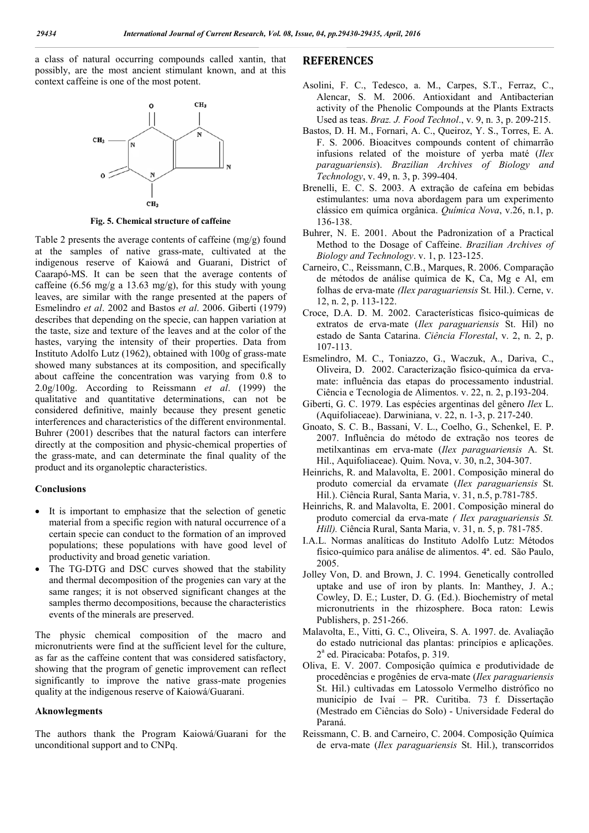a class of natural occurring compounds called xantin, that possibly, are the most ancient stimulant known, and at this context caffeine is one of the most potent.



**Fig. 5. Chemical structure of caffeine**

Table 2 presents the average contents of caffeine (mg/g) found at the samples of native grass-mate, cultivated at the indigenous reserve of Kaiowá and Guarani, District of Caarapó-MS. It can be seen that the average contents of caffeine (6.56 mg/g a 13.63 mg/g), for this study with young leaves, are similar with the range presented at the papers of Esmelindro *et al*. 2002 and Bastos *et al*. 2006. Giberti (1979) describes that depending on the specie, can happen variation at the taste, size and texture of the leaves and at the color of the hastes, varying the intensity of their properties. Data from Instituto Adolfo Lutz (1962), obtained with 100g of grass-mate showed many substances at its composition, and specifically about caffeine the concentration was varying from 0.8 to 2.0g/100g. According to Reissmann *et al*. (1999) the qualitative and quantitative determinations, can not be considered definitive, mainly because they present genetic interferences and characteristics of the different environmental. Buhrer (2001) describes that the natural factors can interfere directly at the composition and physic-chemical properties of the grass-mate, and can determinate the final quality of the product and its organoleptic characteristics.

#### **Conclusions**

- It is important to emphasize that the selection of genetic material from a specific region with natural occurrence of a certain specie can conduct to the formation of an improved populations; these populations with have good level of productivity and broad genetic variation.
- The TG-DTG and DSC curves showed that the stability and thermal decomposition of the progenies can vary at the same ranges; it is not observed significant changes at the samples thermo decompositions, because the characteristics events of the minerals are preserved.

The physic chemical composition of the macro and micronutrients were find at the sufficient level for the culture, as far as the caffeine content that was considered satisfactory, showing that the program of genetic improvement can reflect significantly to improve the native grass-mate progenies quality at the indigenous reserve of Kaiowá/Guarani.

#### **Aknowlegments**

The authors thank the Program Kaiowá/Guarani for the unconditional support and to CNPq.

# **REFERENCES**

- Asolini, F. C., Tedesco, a. M., Carpes, S.T., Ferraz, C., Alencar, S. M. 2006. Antioxidant and Antibacterian activity of the Phenolic Compounds at the Plants Extracts Used as teas. *Braz. J. Food Technol*., v. 9, n. 3, p. 209-215.
- Bastos, D. H. M., Fornari, A. C., Queiroz, Y. S., Torres, E. A. F. S. 2006. Bioacitves compounds content of chimarrão infusions related of the moisture of yerba maté (*Ilex paraguariensis*). *Brazilian Archives of Biology and Technology*, v. 49, n. 3, p. 399-404.
- Brenelli, E. C. S. 2003. A extração de cafeína em bebidas estimulantes: uma nova abordagem para um experimento clássico em química orgânica. *Química Nova*, v.26, n.1, p. 136-138.
- Buhrer, N. E. 2001. About the Padronization of a Practical Method to the Dosage of Caffeine. *Brazilian Archives of Biology and Technology*. v. 1, p. 123-125.
- Carneiro, C., Reissmann, C.B., Marques, R. 2006. Comparação de métodos de análise química de K, Ca, Mg e Al, em folhas de erva-mate *(Ilex paraguariensis* St. Hil.). Cerne, v. 12, n. 2, p. 113-122.
- Croce, D.A. D. M. 2002. Características físico-químicas de extratos de erva-mate (*Ilex paraguariensis* St. Hil) no estado de Santa Catarina. *Ciência Florestal*, v. 2, n. 2, p. 107-113.
- Esmelindro, M. C., Toniazzo, G., Waczuk, A., Dariva, C., Oliveira, D. 2002. Caracterização físico-química da ervamate: influência das etapas do processamento industrial. Ciência e Tecnologia de Alimentos. v. 22, n. 2, p.193-204.
- Giberti, G. C. 1979. Las espécies argentinas del gênero *Ilex* L. (Aquifoliaceae). Darwiniana, v. 22, n. 1-3, p. 217-240.
- Gnoato, S. C. B., Bassani, V. L., Coelho, G., Schenkel, E. P. 2007. Influência do método de extração nos teores de metilxantinas em erva-mate (*Ilex paraguariensis* A. St. Hil., Aquifoliaceae). Quim. Nova, v. 30, n.2, 304-307.
- Heinrichs, R. and Malavolta, E. 2001. Composição mineral do produto comercial da ervamate (*Ilex paraguariensis* St. Hil.). Ciência Rural, Santa Maria, v. 31, n.5, p.781-785.
- Heinrichs, R. and Malavolta, E. 2001. Composição mineral do produto comercial da erva-mate *( Ilex paraguariensis St. Hill).* Ciência Rural, Santa Maria, v. 31, n. 5, p. 781-785.
- I.A.L. Normas analíticas do Instituto Adolfo Lutz: Métodos físico-químico para análise de alimentos. 4ª. ed. São Paulo, 2005.
- Jolley Von, D. and Brown, J. C. 1994. Genetically controlled uptake and use of iron by plants. In: Manthey, J. A.; Cowley, D. E.; Luster, D. G. (Ed.). Biochemistry of metal micronutrients in the rhizosphere. Boca raton: Lewis Publishers, p. 251-266.
- Malavolta, E., Vitti, G. C., Oliveira, S. A. 1997. de. Avaliação do estado nutricional das plantas: princípios e aplicações. 2<sup>a</sup> ed. Piracicaba: Potafos, p. 319.
- Oliva, E. V. 2007. Composição química e produtividade de procedências e progênies de erva-mate (*Ilex paraguariensis*  St. Hil.) cultivadas em Latossolo Vermelho distrófico no município de Ivaí – PR. Curitiba. 73 f. Dissertação (Mestrado em Ciências do Solo) - Universidade Federal do Paraná.
- Reissmann, C. B. and Carneiro, C. 2004. Composição Química de erva-mate (*Ilex paraguariensis* St. Hil.), transcorridos